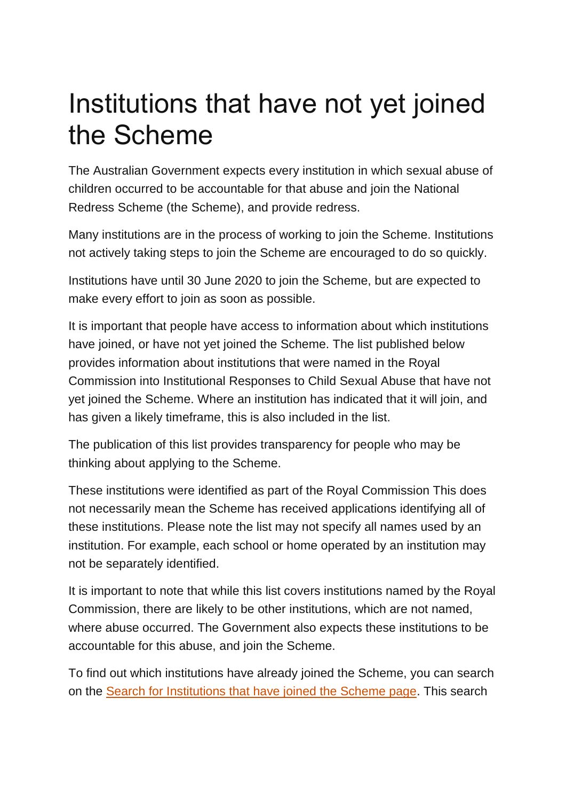## Institutions that have not yet joined the Scheme

The Australian Government expects every institution in which sexual abuse of children occurred to be accountable for that abuse and join the National Redress Scheme (the Scheme), and provide redress.

Many institutions are in the process of working to join the Scheme. Institutions not actively taking steps to join the Scheme are encouraged to do so quickly.

Institutions have until 30 June 2020 to join the Scheme, but are expected to make every effort to join as soon as possible.

It is important that people have access to information about which institutions have joined, or have not yet joined the Scheme. The list published below provides information about institutions that were named in the Royal Commission into Institutional Responses to Child Sexual Abuse that have not yet joined the Scheme. Where an institution has indicated that it will join, and has given a likely timeframe, this is also included in the list.

The publication of this list provides transparency for people who may be thinking about applying to the Scheme.

These institutions were identified as part of the Royal Commission This does not necessarily mean the Scheme has received applications identifying all of these institutions. Please note the list may not specify all names used by an institution. For example, each school or home operated by an institution may not be separately identified.

It is important to note that while this list covers institutions named by the Royal Commission, there are likely to be other institutions, which are not named, where abuse occurred. The Government also expects these institutions to be accountable for this abuse, and join the Scheme.

To find out which institutions have already joined the Scheme, you can search on the [Search for Institutions that have joined the Scheme page.](https://www.nationalredress.gov.au/institutions/search) This search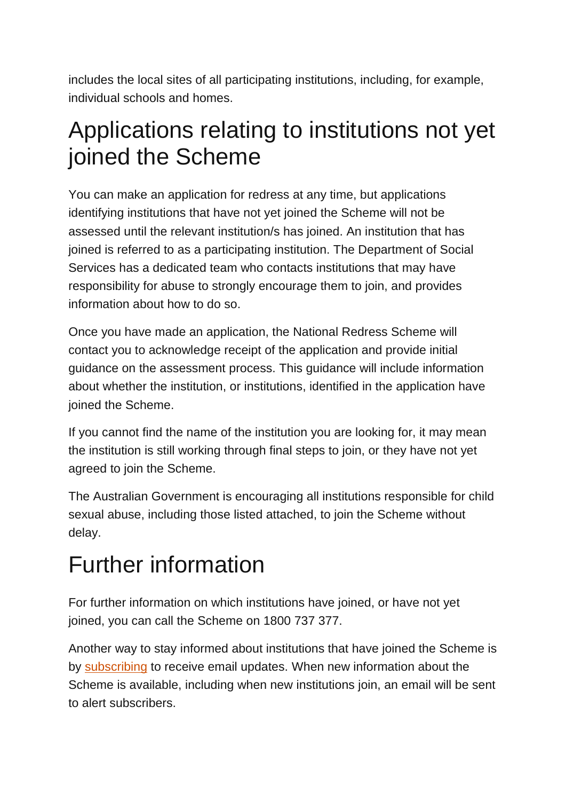includes the local sites of all participating institutions, including, for example, individual schools and homes.

## Applications relating to institutions not yet joined the Scheme

You can make an application for redress at any time, but applications identifying institutions that have not yet joined the Scheme will not be assessed until the relevant institution/s has joined. An institution that has joined is referred to as a participating institution. The Department of Social Services has a dedicated team who contacts institutions that may have responsibility for abuse to strongly encourage them to join, and provides information about how to do so.

Once you have made an application, the National Redress Scheme will contact you to acknowledge receipt of the application and provide initial guidance on the assessment process. This guidance will include information about whether the institution, or institutions, identified in the application have joined the Scheme.

If you cannot find the name of the institution you are looking for, it may mean the institution is still working through final steps to join, or they have not yet agreed to join the Scheme.

The Australian Government is encouraging all institutions responsible for child sexual abuse, including those listed attached, to join the Scheme without delay.

## Further information

For further information on which institutions have joined, or have not yet joined, you can call the Scheme on 1800 737 377.

Another way to stay informed about institutions that have joined the Scheme is by [subscribing](http://eepurl.com/dotLqj) to receive email updates. When new information about the Scheme is available, including when new institutions join, an email will be sent to alert subscribers.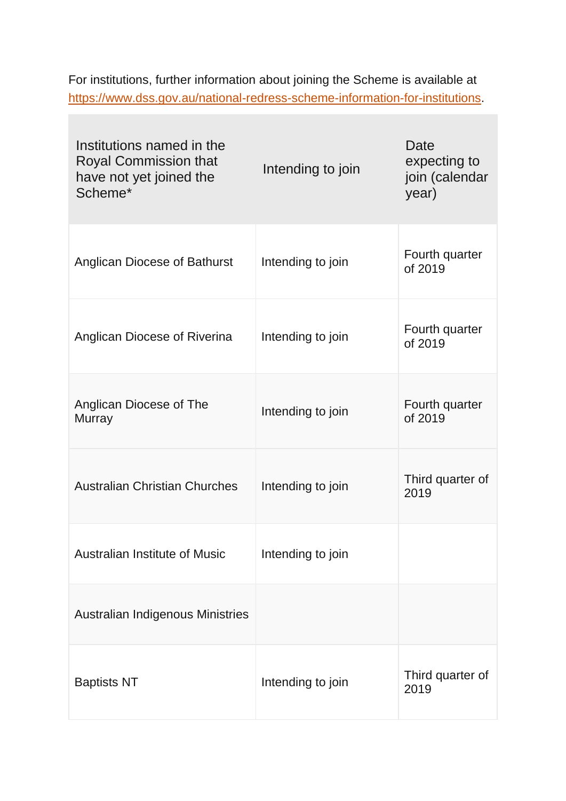For institutions, further information about joining the Scheme is available at [https://www.dss.gov.au/national-redress-scheme-information-for-institutions.](https://www.dss.gov.au/national-redress-scheme-information-for-institutions)

| Institutions named in the<br><b>Royal Commission that</b><br>have not yet joined the<br>Scheme* | Intending to join | <b>Date</b><br>expecting to<br>join (calendar<br>year) |
|-------------------------------------------------------------------------------------------------|-------------------|--------------------------------------------------------|
| <b>Anglican Diocese of Bathurst</b>                                                             | Intending to join | Fourth quarter<br>of 2019                              |
| Anglican Diocese of Riverina                                                                    | Intending to join | Fourth quarter<br>of 2019                              |
| Anglican Diocese of The<br><b>Murray</b>                                                        | Intending to join | Fourth quarter<br>of 2019                              |
| <b>Australian Christian Churches</b>                                                            | Intending to join | Third quarter of<br>2019                               |
| <b>Australian Institute of Music</b>                                                            | Intending to join |                                                        |
| Australian Indigenous Ministries                                                                |                   |                                                        |
| <b>Baptists NT</b>                                                                              | Intending to join | Third quarter of<br>2019                               |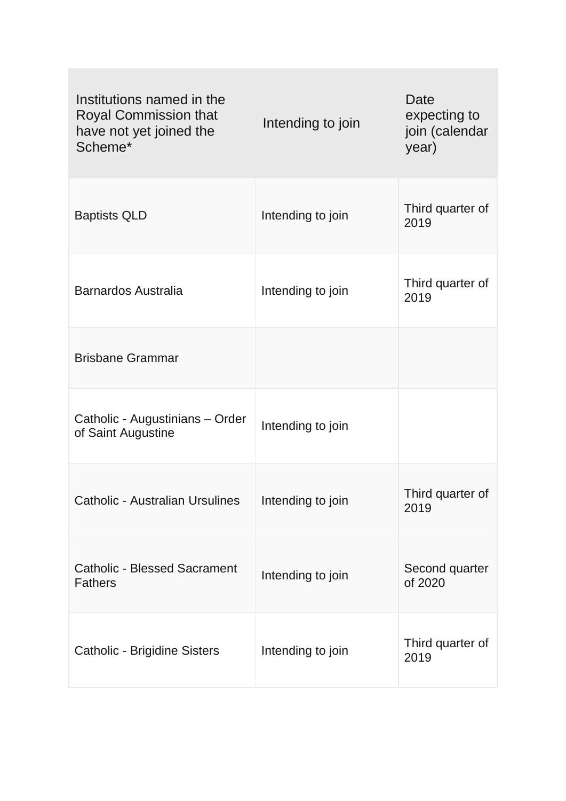| Institutions named in the<br><b>Royal Commission that</b><br>have not yet joined the<br>Scheme* | Intending to join | <b>Date</b><br>expecting to<br>join (calendar<br>year) |
|-------------------------------------------------------------------------------------------------|-------------------|--------------------------------------------------------|
| <b>Baptists QLD</b>                                                                             | Intending to join | Third quarter of<br>2019                               |
| <b>Barnardos Australia</b>                                                                      | Intending to join | Third quarter of<br>2019                               |
| <b>Brisbane Grammar</b>                                                                         |                   |                                                        |
| Catholic - Augustinians - Order<br>of Saint Augustine                                           | Intending to join |                                                        |
| <b>Catholic - Australian Ursulines</b>                                                          | Intending to join | Third quarter of<br>2019                               |
| <b>Catholic - Blessed Sacrament</b><br><b>Fathers</b>                                           | Intending to join | Second quarter<br>of 2020                              |
| <b>Catholic - Brigidine Sisters</b>                                                             | Intending to join | Third quarter of<br>2019                               |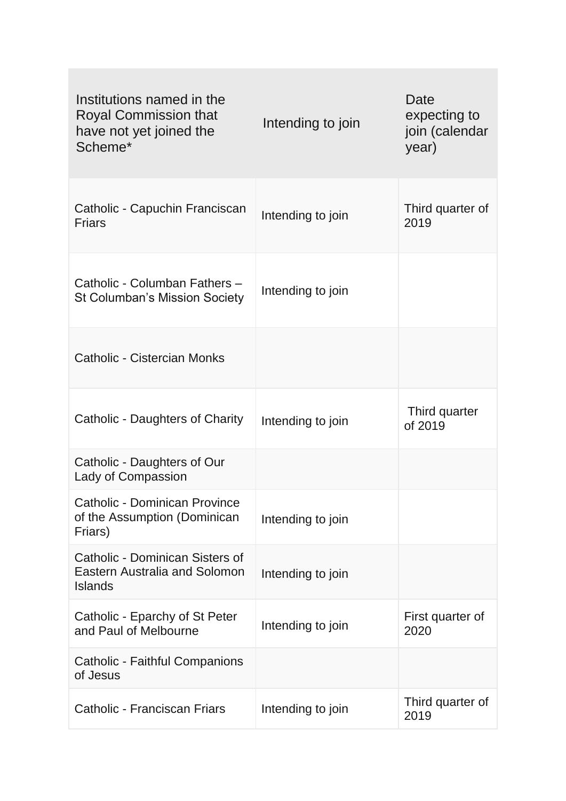| Institutions named in the<br><b>Royal Commission that</b><br>have not yet joined the<br>Scheme* | Intending to join | Date<br>expecting to<br>join (calendar<br>year) |
|-------------------------------------------------------------------------------------------------|-------------------|-------------------------------------------------|
| Catholic - Capuchin Franciscan<br><b>Friars</b>                                                 | Intending to join | Third quarter of<br>2019                        |
| Catholic - Columban Fathers -<br><b>St Columban's Mission Society</b>                           | Intending to join |                                                 |
| Catholic - Cistercian Monks                                                                     |                   |                                                 |
| Catholic - Daughters of Charity                                                                 | Intending to join | Third quarter<br>of 2019                        |
| Catholic - Daughters of Our<br><b>Lady of Compassion</b>                                        |                   |                                                 |
| <b>Catholic - Dominican Province</b><br>of the Assumption (Dominican<br>Friars)                 | Intending to join |                                                 |
| Catholic - Dominican Sisters of<br><b>Eastern Australia and Solomon</b><br><b>Islands</b>       | Intending to join |                                                 |
| Catholic - Eparchy of St Peter<br>and Paul of Melbourne                                         | Intending to join | First quarter of<br>2020                        |
| <b>Catholic - Faithful Companions</b><br>of Jesus                                               |                   |                                                 |
| Catholic - Franciscan Friars                                                                    | Intending to join | Third quarter of<br>2019                        |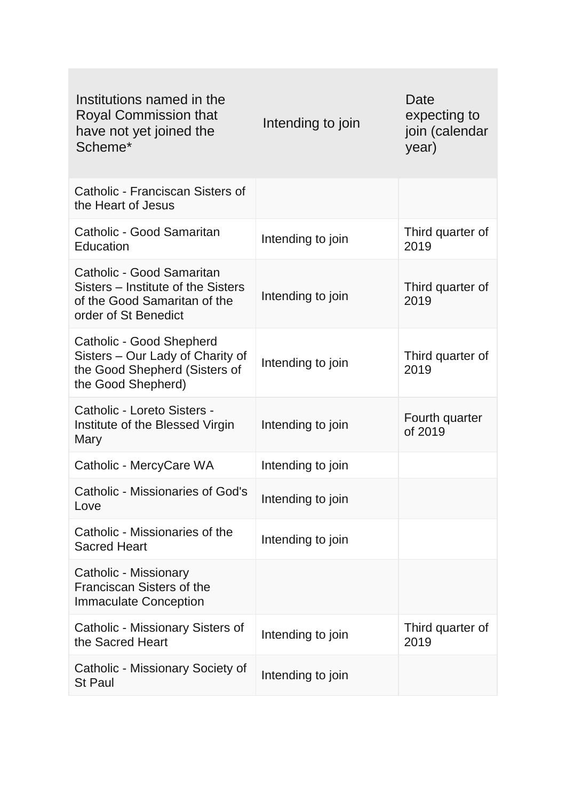| Institutions named in the<br><b>Royal Commission that</b><br>have not yet joined the<br>Scheme*                         | Intending to join | Date<br>expecting to<br>join (calendar<br>year) |
|-------------------------------------------------------------------------------------------------------------------------|-------------------|-------------------------------------------------|
| Catholic - Franciscan Sisters of<br>the Heart of Jesus                                                                  |                   |                                                 |
| Catholic - Good Samaritan<br>Education                                                                                  | Intending to join | Third quarter of<br>2019                        |
| Catholic - Good Samaritan<br>Sisters – Institute of the Sisters<br>of the Good Samaritan of the<br>order of St Benedict | Intending to join | Third quarter of<br>2019                        |
| Catholic - Good Shepherd<br>Sisters - Our Lady of Charity of<br>the Good Shepherd (Sisters of<br>the Good Shepherd)     | Intending to join | Third quarter of<br>2019                        |
| Catholic - Loreto Sisters -<br>Institute of the Blessed Virgin<br>Mary                                                  | Intending to join | Fourth quarter<br>of 2019                       |
| Catholic - MercyCare WA                                                                                                 | Intending to join |                                                 |
| <b>Catholic - Missionaries of God's</b><br>Love                                                                         | Intending to join |                                                 |
| Catholic - Missionaries of the<br><b>Sacred Heart</b>                                                                   | Intending to join |                                                 |
| Catholic - Missionary<br>Franciscan Sisters of the<br><b>Immaculate Conception</b>                                      |                   |                                                 |
| Catholic - Missionary Sisters of<br>the Sacred Heart                                                                    | Intending to join | Third quarter of<br>2019                        |
| Catholic - Missionary Society of<br><b>St Paul</b>                                                                      | Intending to join |                                                 |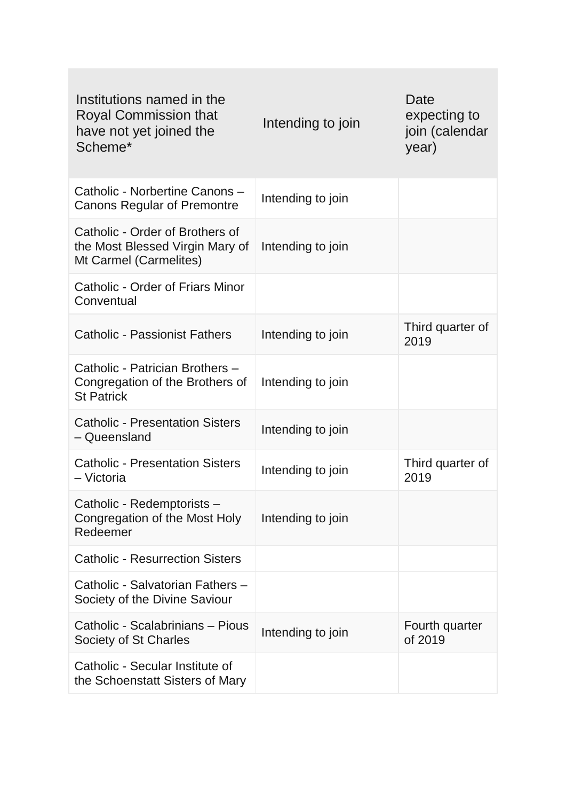| Institutions named in the<br><b>Royal Commission that</b><br>have not yet joined the<br>Scheme* | Intending to join | Date<br>expecting to<br>join (calendar<br>year) |
|-------------------------------------------------------------------------------------------------|-------------------|-------------------------------------------------|
| Catholic - Norbertine Canons -<br><b>Canons Regular of Premontre</b>                            | Intending to join |                                                 |
| Catholic - Order of Brothers of<br>the Most Blessed Virgin Mary of<br>Mt Carmel (Carmelites)    | Intending to join |                                                 |
| Catholic - Order of Friars Minor<br>Conventual                                                  |                   |                                                 |
| <b>Catholic - Passionist Fathers</b>                                                            | Intending to join | Third quarter of<br>2019                        |
| Catholic - Patrician Brothers -<br>Congregation of the Brothers of<br><b>St Patrick</b>         | Intending to join |                                                 |
| <b>Catholic - Presentation Sisters</b><br>- Queensland                                          | Intending to join |                                                 |
| <b>Catholic - Presentation Sisters</b><br>- Victoria                                            | Intending to join | Third quarter of<br>2019                        |
| Catholic - Redemptorists -<br>Congregation of the Most Holy<br>Redeemer                         | Intending to join |                                                 |
| <b>Catholic - Resurrection Sisters</b>                                                          |                   |                                                 |
| Catholic - Salvatorian Fathers -<br>Society of the Divine Saviour                               |                   |                                                 |
| Catholic - Scalabrinians - Pious<br>Society of St Charles                                       | Intending to join | Fourth quarter<br>of 2019                       |
| Catholic - Secular Institute of<br>the Schoenstatt Sisters of Mary                              |                   |                                                 |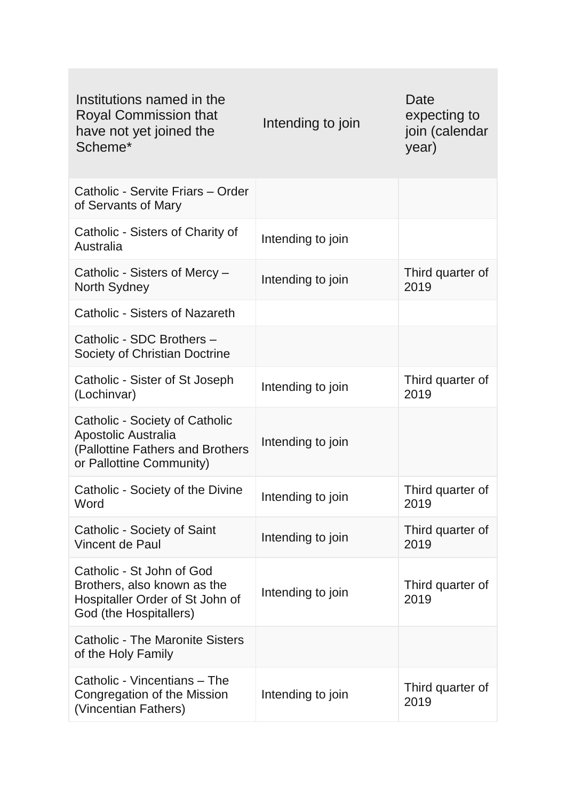| Institutions named in the<br><b>Royal Commission that</b><br>have not yet joined the<br>Scheme*                       | Intending to join | Date<br>expecting to<br>join (calendar<br>year) |
|-----------------------------------------------------------------------------------------------------------------------|-------------------|-------------------------------------------------|
| Catholic - Servite Friars - Order<br>of Servants of Mary                                                              |                   |                                                 |
| Catholic - Sisters of Charity of<br>Australia                                                                         | Intending to join |                                                 |
| Catholic - Sisters of Mercy -<br>North Sydney                                                                         | Intending to join | Third quarter of<br>2019                        |
| <b>Catholic - Sisters of Nazareth</b>                                                                                 |                   |                                                 |
| Catholic - SDC Brothers -<br>Society of Christian Doctrine                                                            |                   |                                                 |
| Catholic - Sister of St Joseph<br>(Lochinvar)                                                                         | Intending to join | Third quarter of<br>2019                        |
| Catholic - Society of Catholic<br>Apostolic Australia<br>(Pallottine Fathers and Brothers<br>or Pallottine Community) | Intending to join |                                                 |
| Catholic - Society of the Divine<br>Word                                                                              | Intending to join | Third quarter of<br>2019                        |
| Catholic - Society of Saint<br><b>Vincent de Paul</b>                                                                 | Intending to join | Third quarter of<br>2019                        |
| Catholic - St John of God<br>Brothers, also known as the<br>Hospitaller Order of St John of<br>God (the Hospitallers) | Intending to join | Third quarter of<br>2019                        |
| <b>Catholic - The Maronite Sisters</b><br>of the Holy Family                                                          |                   |                                                 |
| Catholic - Vincentians - The<br>Congregation of the Mission<br>(Vincentian Fathers)                                   | Intending to join | Third quarter of<br>2019                        |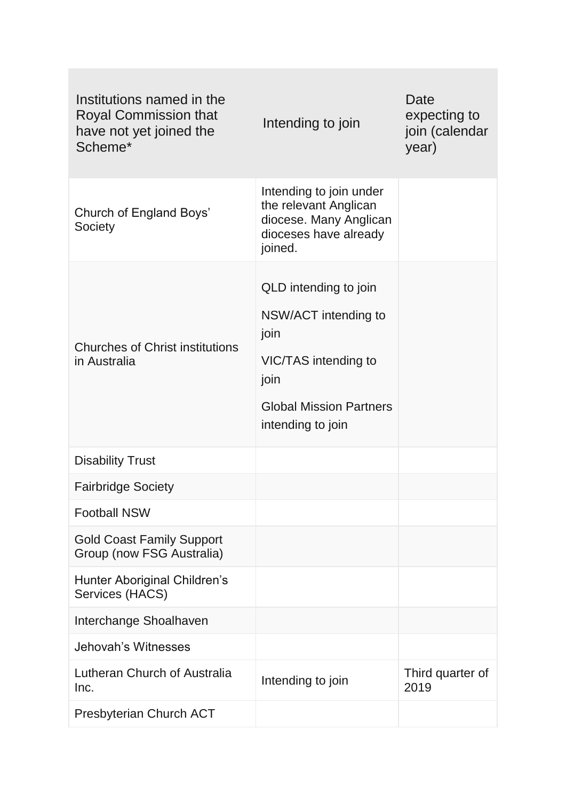| Institutions named in the<br><b>Royal Commission that</b><br>have not yet joined the<br>Scheme* | Intending to join                                                                                                                            | Date<br>expecting to<br>join (calendar<br>year) |
|-------------------------------------------------------------------------------------------------|----------------------------------------------------------------------------------------------------------------------------------------------|-------------------------------------------------|
| Church of England Boys'<br>Society                                                              | Intending to join under<br>the relevant Anglican<br>diocese. Many Anglican<br>dioceses have already<br>joined.                               |                                                 |
| <b>Churches of Christ institutions</b><br>in Australia                                          | QLD intending to join<br>NSW/ACT intending to<br>join<br>VIC/TAS intending to<br>join<br><b>Global Mission Partners</b><br>intending to join |                                                 |
| <b>Disability Trust</b>                                                                         |                                                                                                                                              |                                                 |
| <b>Fairbridge Society</b>                                                                       |                                                                                                                                              |                                                 |
| <b>Football NSW</b>                                                                             |                                                                                                                                              |                                                 |
| <b>Gold Coast Family Support</b><br>Group (now FSG Australia)                                   |                                                                                                                                              |                                                 |
| Hunter Aboriginal Children's<br>Services (HACS)                                                 |                                                                                                                                              |                                                 |
| Interchange Shoalhaven                                                                          |                                                                                                                                              |                                                 |
| Jehovah's Witnesses                                                                             |                                                                                                                                              |                                                 |
| Lutheran Church of Australia<br>Inc.                                                            | Intending to join                                                                                                                            | Third quarter of<br>2019                        |
| Presbyterian Church ACT                                                                         |                                                                                                                                              |                                                 |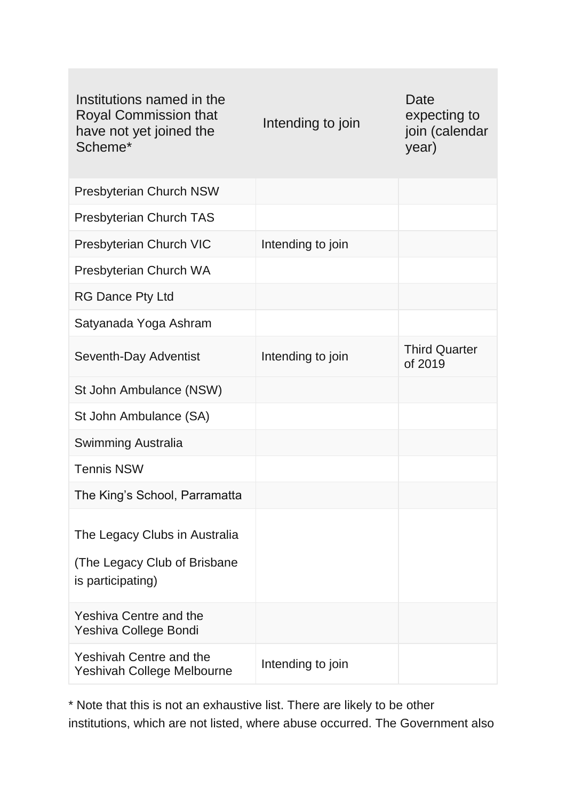| Institutions named in the<br><b>Royal Commission that</b><br>have not yet joined the<br>Scheme* | Intending to join | Date<br>expecting to<br>join (calendar<br>year) |
|-------------------------------------------------------------------------------------------------|-------------------|-------------------------------------------------|
| <b>Presbyterian Church NSW</b>                                                                  |                   |                                                 |
| <b>Presbyterian Church TAS</b>                                                                  |                   |                                                 |
| Presbyterian Church VIC                                                                         | Intending to join |                                                 |
| Presbyterian Church WA                                                                          |                   |                                                 |
| <b>RG Dance Pty Ltd</b>                                                                         |                   |                                                 |
| Satyanada Yoga Ashram                                                                           |                   |                                                 |
| Seventh-Day Adventist                                                                           | Intending to join | <b>Third Quarter</b><br>of 2019                 |
| St John Ambulance (NSW)                                                                         |                   |                                                 |
| St John Ambulance (SA)                                                                          |                   |                                                 |
| Swimming Australia                                                                              |                   |                                                 |
| <b>Tennis NSW</b>                                                                               |                   |                                                 |
| The King's School, Parramatta                                                                   |                   |                                                 |
| The Legacy Clubs in Australia<br>(The Legacy Club of Brisbane<br>is participating)              |                   |                                                 |
| <b>Yeshiva Centre and the</b><br>Yeshiva College Bondi                                          |                   |                                                 |
| <b>Yeshivah Centre and the</b><br>Yeshivah College Melbourne                                    | Intending to join |                                                 |

\* Note that this is not an exhaustive list. There are likely to be other institutions, which are not listed, where abuse occurred. The Government also